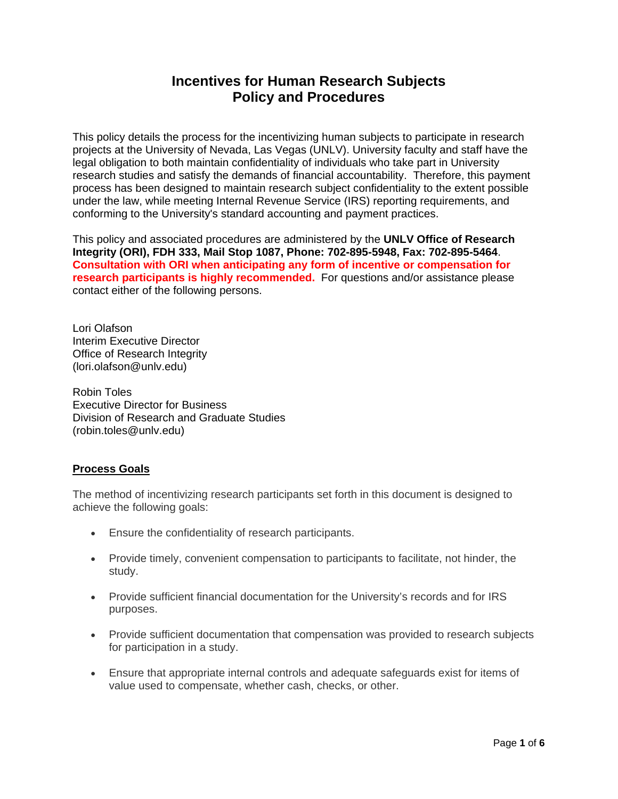# **Incentives for Human Research Subjects Policy and Procedures**

This policy details the process for the incentivizing human subjects to participate in research projects at the University of Nevada, Las Vegas (UNLV). University faculty and staff have the legal obligation to both maintain confidentiality of individuals who take part in University research studies and satisfy the demands of financial accountability. Therefore, this payment process has been designed to maintain research subject confidentiality to the extent possible under the law, while meeting Internal Revenue Service (IRS) reporting requirements, and conforming to the University's standard accounting and payment practices.

This policy and associated procedures are administered by the **UNLV Office of Research Integrity (ORI), FDH 333, Mail Stop 1087, Phone: 702-895-5948, Fax: 702-895-5464**. **Consultation with ORI when anticipating any form of incentive or compensation for research participants is highly recommended.** For questions and/or assistance please contact either of the following persons.

Lori Olafson Interim Executive Director Office of Research Integrity (lori.olafson@unlv.edu)

Robin Toles Executive Director for Business Division of Research and Graduate Studies (robin.toles@unlv.edu)

# **Process Goals**

The method of incentivizing research participants set forth in this document is designed to achieve the following goals:

- Ensure the confidentiality of research participants.
- Provide timely, convenient compensation to participants to facilitate, not hinder, the study.
- Provide sufficient financial documentation for the University's records and for IRS purposes.
- Provide sufficient documentation that compensation was provided to research subjects for participation in a study.
- Ensure that appropriate internal controls and adequate safeguards exist for items of value used to compensate, whether cash, checks, or other.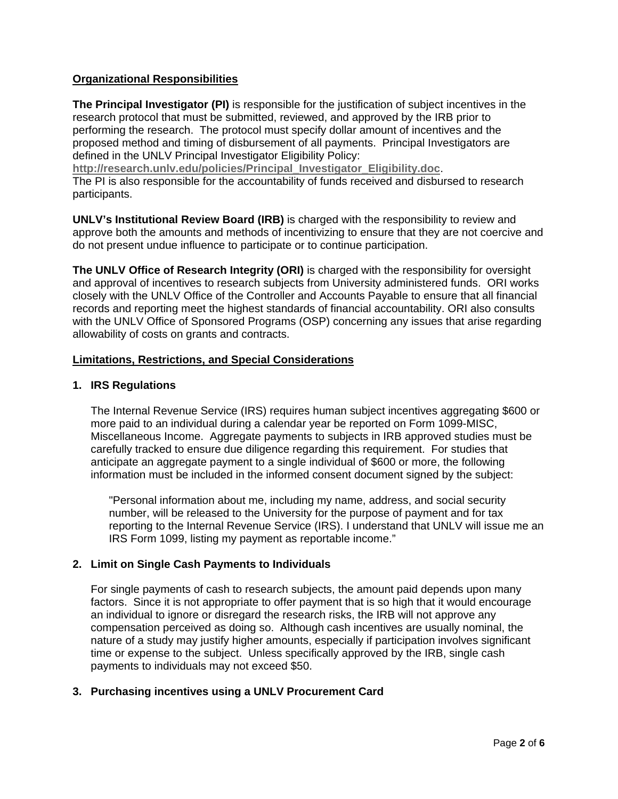## **Organizational Responsibilities**

**The Principal Investigator (PI)** is responsible for the justification of subject incentives in the research protocol that must be submitted, reviewed, and approved by the IRB prior to performing the research. The protocol must specify dollar amount of incentives and the proposed method and timing of disbursement of all payments. Principal Investigators are defined in the UNLV Principal Investigator Eligibility Policy:

**http://research.unlv.edu/policies/Principal\_Investigator\_Eligibility.doc**.

The PI is also responsible for the accountability of funds received and disbursed to research participants.

**UNLV's Institutional Review Board (IRB)** is charged with the responsibility to review and approve both the amounts and methods of incentivizing to ensure that they are not coercive and do not present undue influence to participate or to continue participation.

**The UNLV Office of Research Integrity (ORI)** is charged with the responsibility for oversight and approval of incentives to research subjects from University administered funds. ORI works closely with the UNLV Office of the Controller and Accounts Payable to ensure that all financial records and reporting meet the highest standards of financial accountability. ORI also consults with the UNLV Office of Sponsored Programs (OSP) concerning any issues that arise regarding allowability of costs on grants and contracts.

#### **Limitations, Restrictions, and Special Considerations**

## **1. IRS Regulations**

The Internal Revenue Service (IRS) requires human subject incentives aggregating \$600 or more paid to an individual during a calendar year be reported on Form 1099-MISC, Miscellaneous Income. Aggregate payments to subjects in IRB approved studies must be carefully tracked to ensure due diligence regarding this requirement. For studies that anticipate an aggregate payment to a single individual of \$600 or more, the following information must be included in the informed consent document signed by the subject:

"Personal information about me, including my name, address, and social security number, will be released to the University for the purpose of payment and for tax reporting to the Internal Revenue Service (IRS). I understand that UNLV will issue me an IRS Form 1099, listing my payment as reportable income."

#### **2. Limit on Single Cash Payments to Individuals**

For single payments of cash to research subjects, the amount paid depends upon many factors. Since it is not appropriate to offer payment that is so high that it would encourage an individual to ignore or disregard the research risks, the IRB will not approve any compensation perceived as doing so. Although cash incentives are usually nominal, the nature of a study may justify higher amounts, especially if participation involves significant time or expense to the subject. Unless specifically approved by the IRB, single cash payments to individuals may not exceed \$50.

## **3. Purchasing incentives using a UNLV Procurement Card**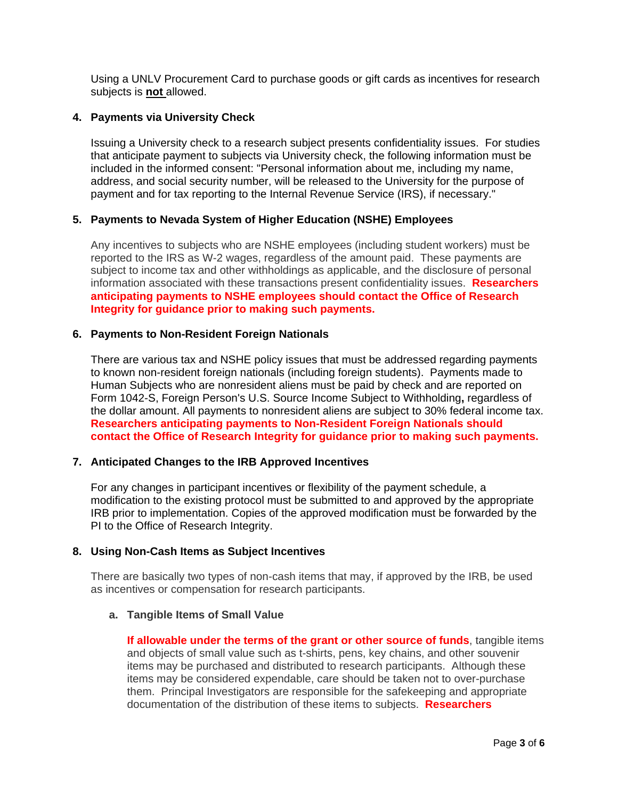Using a UNLV Procurement Card to purchase goods or gift cards as incentives for research subjects is **not** allowed.

## **4. Payments via University Check**

Issuing a University check to a research subject presents confidentiality issues. For studies that anticipate payment to subjects via University check, the following information must be included in the informed consent: "Personal information about me, including my name, address, and social security number, will be released to the University for the purpose of payment and for tax reporting to the Internal Revenue Service (IRS), if necessary."

## **5. Payments to Nevada System of Higher Education (NSHE) Employees**

Any incentives to subjects who are NSHE employees (including student workers) must be reported to the IRS as W-2 wages, regardless of the amount paid. These payments are subject to income tax and other withholdings as applicable, and the disclosure of personal information associated with these transactions present confidentiality issues. **Researchers anticipating payments to NSHE employees should contact the Office of Research Integrity for guidance prior to making such payments.** 

#### **6. Payments to Non-Resident Foreign Nationals**

There are various tax and NSHE policy issues that must be addressed regarding payments to known non-resident foreign nationals (including foreign students). Payments made to Human Subjects who are nonresident aliens must be paid by check and are reported on Form 1042-S, Foreign Person's U.S. Source Income Subject to Withholding**,** regardless of the dollar amount. All payments to nonresident aliens are subject to 30% federal income tax. **Researchers anticipating payments to Non-Resident Foreign Nationals should contact the Office of Research Integrity for guidance prior to making such payments.** 

#### **7. Anticipated Changes to the IRB Approved Incentives**

For any changes in participant incentives or flexibility of the payment schedule, a modification to the existing protocol must be submitted to and approved by the appropriate IRB prior to implementation. Copies of the approved modification must be forwarded by the PI to the Office of Research Integrity.

#### **8. Using Non-Cash Items as Subject Incentives**

There are basically two types of non-cash items that may, if approved by the IRB, be used as incentives or compensation for research participants.

#### **a. Tangible Items of Small Value**

**If allowable under the terms of the grant or other source of funds**, tangible items and objects of small value such as t-shirts, pens, key chains, and other souvenir items may be purchased and distributed to research participants. Although these items may be considered expendable, care should be taken not to over-purchase them. Principal Investigators are responsible for the safekeeping and appropriate documentation of the distribution of these items to subjects. **Researchers**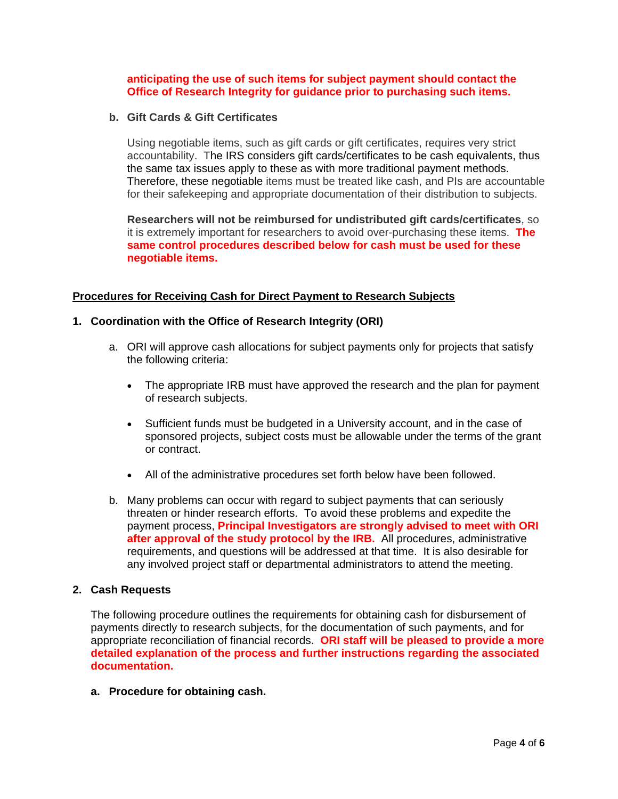## **anticipating the use of such items for subject payment should contact the Office of Research Integrity for guidance prior to purchasing such items.**

#### **b. Gift Cards & Gift Certificates**

Using negotiable items, such as gift cards or gift certificates, requires very strict accountability. The IRS considers gift cards/certificates to be cash equivalents, thus the same tax issues apply to these as with more traditional payment methods. Therefore, these negotiable items must be treated like cash, and PIs are accountable for their safekeeping and appropriate documentation of their distribution to subjects.

**Researchers will not be reimbursed for undistributed gift cards/certificates**, so it is extremely important for researchers to avoid over-purchasing these items. **The same control procedures described below for cash must be used for these negotiable items.** 

#### **Procedures for Receiving Cash for Direct Payment to Research Subjects**

#### **1. Coordination with the Office of Research Integrity (ORI)**

- a. ORI will approve cash allocations for subject payments only for projects that satisfy the following criteria:
	- The appropriate IRB must have approved the research and the plan for payment of research subjects.
	- Sufficient funds must be budgeted in a University account, and in the case of sponsored projects, subject costs must be allowable under the terms of the grant or contract.
	- All of the administrative procedures set forth below have been followed.
- b. Many problems can occur with regard to subject payments that can seriously threaten or hinder research efforts. To avoid these problems and expedite the payment process, **Principal Investigators are strongly advised to meet with ORI after approval of the study protocol by the IRB.** All procedures, administrative requirements, and questions will be addressed at that time. It is also desirable for any involved project staff or departmental administrators to attend the meeting.

#### **2. Cash Requests**

The following procedure outlines the requirements for obtaining cash for disbursement of payments directly to research subjects, for the documentation of such payments, and for appropriate reconciliation of financial records. **ORI staff will be pleased to provide a more detailed explanation of the process and further instructions regarding the associated documentation.**

**a. Procedure for obtaining cash.**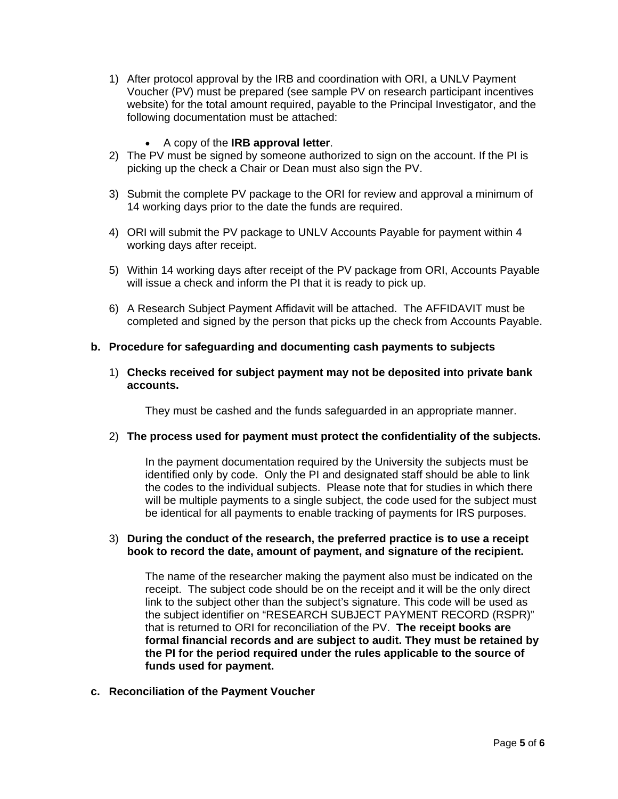- 1) After protocol approval by the IRB and coordination with ORI, a UNLV Payment Voucher (PV) must be prepared (see sample PV on research participant incentives website) for the total amount required, payable to the Principal Investigator, and the following documentation must be attached:
	- A copy of the **IRB approval letter**.
- 2) The PV must be signed by someone authorized to sign on the account. If the PI is picking up the check a Chair or Dean must also sign the PV.
- 3) Submit the complete PV package to the ORI for review and approval a minimum of 14 working days prior to the date the funds are required.
- 4) ORI will submit the PV package to UNLV Accounts Payable for payment within 4 working days after receipt.
- 5) Within 14 working days after receipt of the PV package from ORI, Accounts Payable will issue a check and inform the PI that it is ready to pick up.
- 6) A Research Subject Payment Affidavit will be attached. The AFFIDAVIT must be completed and signed by the person that picks up the check from Accounts Payable.

#### **b. Procedure for safeguarding and documenting cash payments to subjects**

1) **Checks received for subject payment may not be deposited into private bank accounts.**

They must be cashed and the funds safeguarded in an appropriate manner.

#### 2) **The process used for payment must protect the confidentiality of the subjects.**

In the payment documentation required by the University the subjects must be identified only by code. Only the PI and designated staff should be able to link the codes to the individual subjects. Please note that for studies in which there will be multiple payments to a single subject, the code used for the subject must be identical for all payments to enable tracking of payments for IRS purposes.

#### 3) **During the conduct of the research, the preferred practice is to use a receipt book to record the date, amount of payment, and signature of the recipient.**

The name of the researcher making the payment also must be indicated on the receipt. The subject code should be on the receipt and it will be the only direct link to the subject other than the subject's signature. This code will be used as the subject identifier on "RESEARCH SUBJECT PAYMENT RECORD (RSPR)" that is returned to ORI for reconciliation of the PV. **The receipt books are formal financial records and are subject to audit. They must be retained by the PI for the period required under the rules applicable to the source of funds used for payment.** 

**c. Reconciliation of the Payment Voucher**